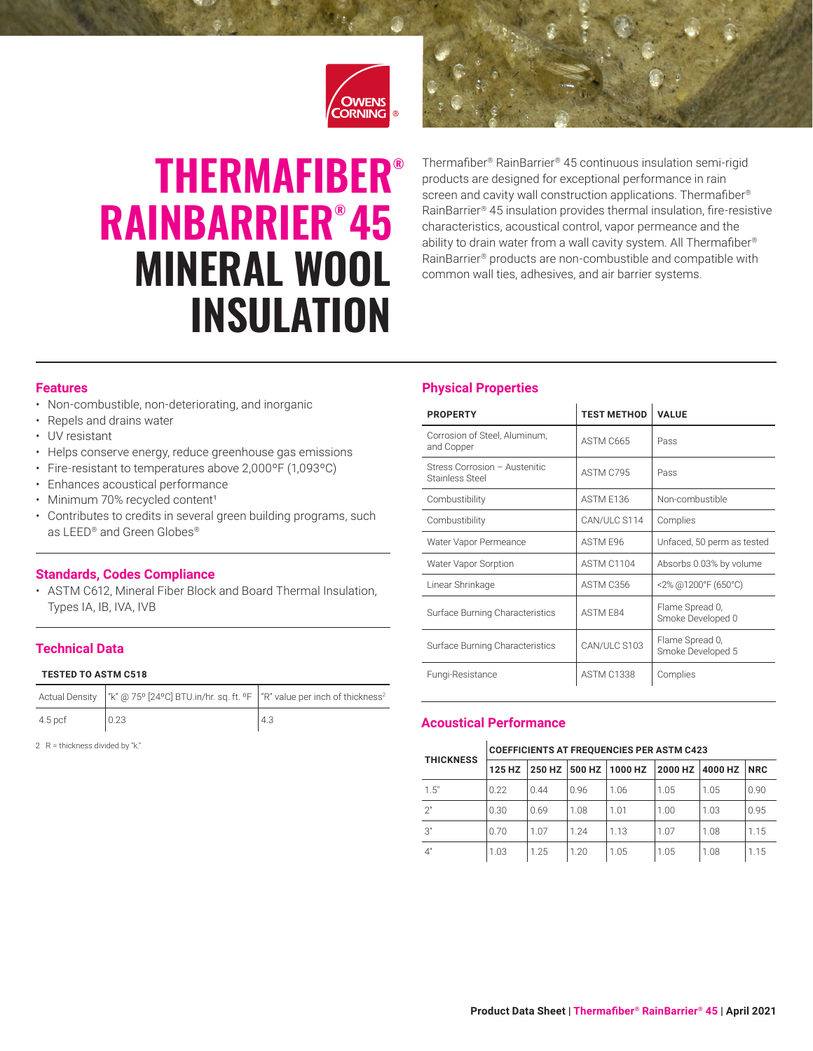

# **THERMAFIBER®** RAINBARRIER® 45 MINERAL WOOL INSULATION

Thermafiber® RainBarrier® 45 continuous insulation semi-rigid products are designed for exceptional performance in rain screen and cavity wall construction applications. Thermafiber<sup>®</sup> RainBarrier® 45 insulation provides thermal insulation, fire-resistive characteristics, acoustical control, vapor permeance and the ability to drain water from a wall cavity system. All Thermafiber® RainBarrier® products are non-combustible and compatible with common wall ties, adhesives, and air barrier systems.

# **Features**

- Non-combustible, non-deteriorating, and inorganic
- Repels and drains water
- UV resistant
- Helps conserve energy, reduce greenhouse gas emissions
- Fire-resistant to temperatures above 2,000ºF (1,093ºC)
- Enhances acoustical performance
- Minimum 70% recycled content<sup>1</sup>
- Contributes to credits in several green building programs, such as LEED® and Green Globes®

# **Standards, Codes Compliance**

• ASTM C612, Mineral Fiber Block and Board Thermal Insulation, Types IA, IB, IVA, IVB

# **Technical Data**

### **TESTED TO ASTM C518**

|         | Actual Density   "k" @ 75° [24°C] BTU.in/hr. sq. ft. °F   "R" value per inch of thickness <sup>2</sup> |     |
|---------|--------------------------------------------------------------------------------------------------------|-----|
| 4.5 pcf | 0.23                                                                                                   | 4.3 |

2 R = thickness divided by "k."

# **Physical Properties**

| <b>PROPERTY</b>                                  | <b>TEST METHOD</b> | <b>VALUE</b>                         |  |
|--------------------------------------------------|--------------------|--------------------------------------|--|
| Corrosion of Steel, Aluminum,<br>and Copper      | ASTM C665          | Pass                                 |  |
| Stress Corrosion - Austenitic<br>Stainless Steel | ASTM C795          | Pass                                 |  |
| Combustibility                                   | ASTM F136          | Non-combustible                      |  |
| Combustibility                                   | CAN/ULC S114       | Complies                             |  |
| Water Vapor Permeance                            | ASTM F96           | Unfaced, 50 perm as tested           |  |
| Water Vapor Sorption                             | <b>ASTM C1104</b>  | Absorbs 0.03% by volume              |  |
| Linear Shrinkage                                 | ASTM C356          | <2% @1200°F (650°C)                  |  |
| Surface Burning Characteristics                  | ASTM F84           | Flame Spread 0,<br>Smoke Developed 0 |  |
| Surface Burning Characteristics                  | CAN/ULC S103       | Flame Spread 0,<br>Smoke Developed 5 |  |
| Fungi-Resistance                                 | <b>ASTM C1338</b>  | Complies                             |  |

# **Acoustical Performance**

### **COEFFICIENTS AT FREQUENCIES PER ASTM C423**

| <b>THICKNESS</b> |        |      |      |                                           |      |      |      |
|------------------|--------|------|------|-------------------------------------------|------|------|------|
|                  | 125 HZ |      |      | 250 HZ 500 HZ 1000 HZ 2000 HZ 4000 HZ NRC |      |      |      |
| 1.5"             | 0.22   | 0.44 | 0.96 | 1.06                                      | 1.05 | 1.05 | 0.90 |
| 2"               | 0.30   | 0.69 | 1.08 | 1.01                                      | 1.00 | 1.03 | 0.95 |
| 3"               | 0.70   | 1.07 | 1.24 | 1.13                                      | 1.07 | 1.08 | 1.15 |
| 4"               | 1.03   | 1.25 | 1.20 | 1.05                                      | 1.05 | 1.08 | 1.15 |